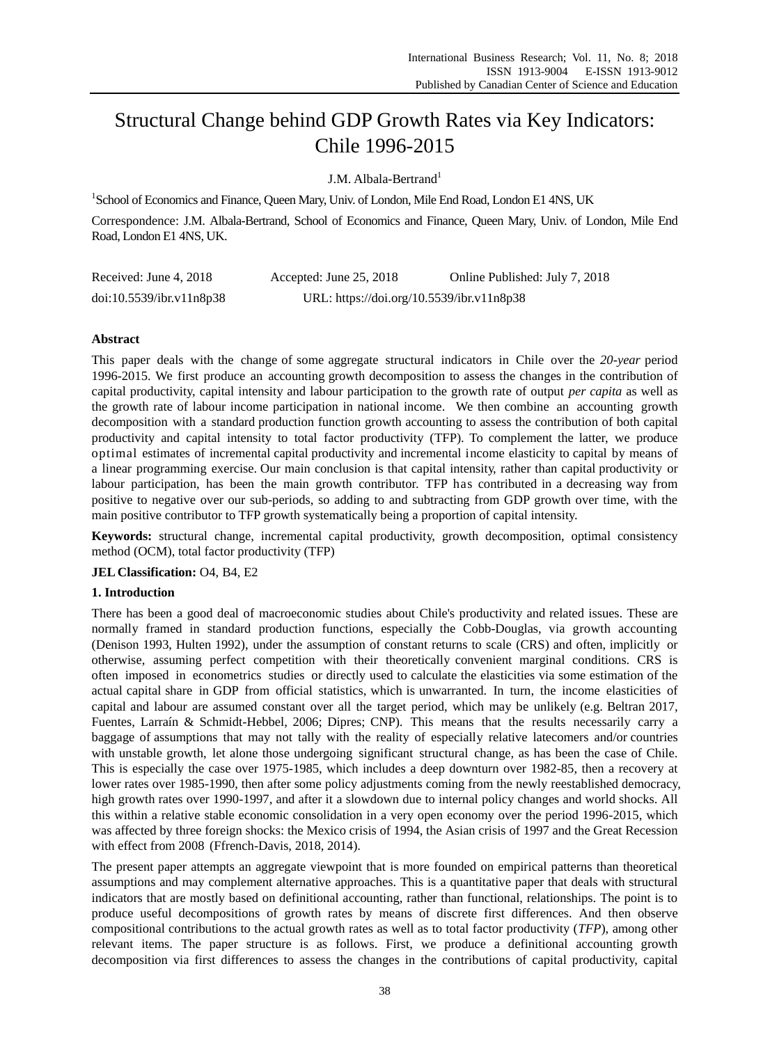# Structural Change behind GDP Growth Rates via Key Indicators: Chile 1996-2015

J.M. Albala-Bertrand<sup>1</sup>

<sup>1</sup> School of Economics and Finance, Queen Mary, Univ. of London, Mile End Road, London E1 4NS, UK

Correspondence: J.M. Albala-Bertrand, School of Economics and Finance, Queen Mary, Univ. of London, Mile End Road, London E1 4NS, UK.

| Received: June 4, 2018   | Accepted: June 25, 2018                   | Online Published: July 7, 2018 |
|--------------------------|-------------------------------------------|--------------------------------|
| doi:10.5539/ibr.v11n8p38 | URL: https://doi.org/10.5539/ibr.v11n8p38 |                                |

## **Abstract**

This paper deals with the change of some aggregate structural indicators in Chile over the *20-year* period 1996-2015. We first produce an accounting growth decomposition to assess the changes in the contribution of capital productivity, capital intensity and labour participation to the growth rate of output *per capita* as well as the growth rate of labour income participation in national income. We then combine an accounting growth decomposition with a standard production function growth accounting to assess the contribution of both capital productivity and capital intensity to total factor productivity (TFP). To complement the latter, we produce optimal estimates of incremental capital productivity and incremental income elasticity to capital by means of a linear programming exercise. Our main conclusion is that capital intensity, rather than capital productivity or labour participation, has been the main growth contributor. TFP has contributed in a decreasing way from positive to negative over our sub-periods, so adding to and subtracting from GDP growth over time, with the main positive contributor to TFP growth systematically being a proportion of capital intensity.

**Keywords:** structural change, incremental capital productivity, growth decomposition, optimal consistency method (OCM), total factor productivity (TFP)

**JEL Classification:** O4, B4, E2

## **1. Introduction**

There has been a good deal of macroeconomic studies about Chile's productivity and related issues. These are normally framed in standard production functions, especially the Cobb-Douglas, via growth accounting (Denison 1993, Hulten 1992), under the assumption of constant returns to scale (CRS) and often, implicitly or otherwise, assuming perfect competition with their theoretically convenient marginal conditions. CRS is often imposed in econometrics studies or directly used to calculate the elasticities via some estimation of the actual capital share in GDP from official statistics, which is unwarranted. In turn, the income elasticities of capital and labour are assumed constant over all the target period, which may be unlikely (e.g. Beltran 2017, Fuentes, Larraín & Schmidt-Hebbel, 2006; Dipres; CNP). This means that the results necessarily carry a baggage of assumptions that may not tally with the reality of especially relative latecomers and/or countries with unstable growth, let alone those undergoing significant structural change, as has been the case of Chile. This is especially the case over 1975-1985, which includes a deep downturn over 1982-85, then a recovery at lower rates over 1985-1990, then after some policy adjustments coming from the newly reestablished democracy, high growth rates over 1990-1997, and after it a slowdown due to internal policy changes and world shocks. All this within a relative stable economic consolidation in a very open economy over the period 1996-2015, which was affected by three foreign shocks: the Mexico crisis of 1994, the Asian crisis of 1997 and the Great Recession with effect from 2008 (Ffrench-Davis, 2018, 2014).

The present paper attempts an aggregate viewpoint that is more founded on empirical patterns than theoretical assumptions and may complement alternative approaches. This is a quantitative paper that deals with structural indicators that are mostly based on definitional accounting, rather than functional, relationships. The point is to produce useful decompositions of growth rates by means of discrete first differences. And then observe compositional contributions to the actual growth rates as well as to total factor productivity (*TFP*), among other relevant items. The paper structure is as follows. First, we produce a definitional accounting growth decomposition via first differences to assess the changes in the contributions of capital productivity, capital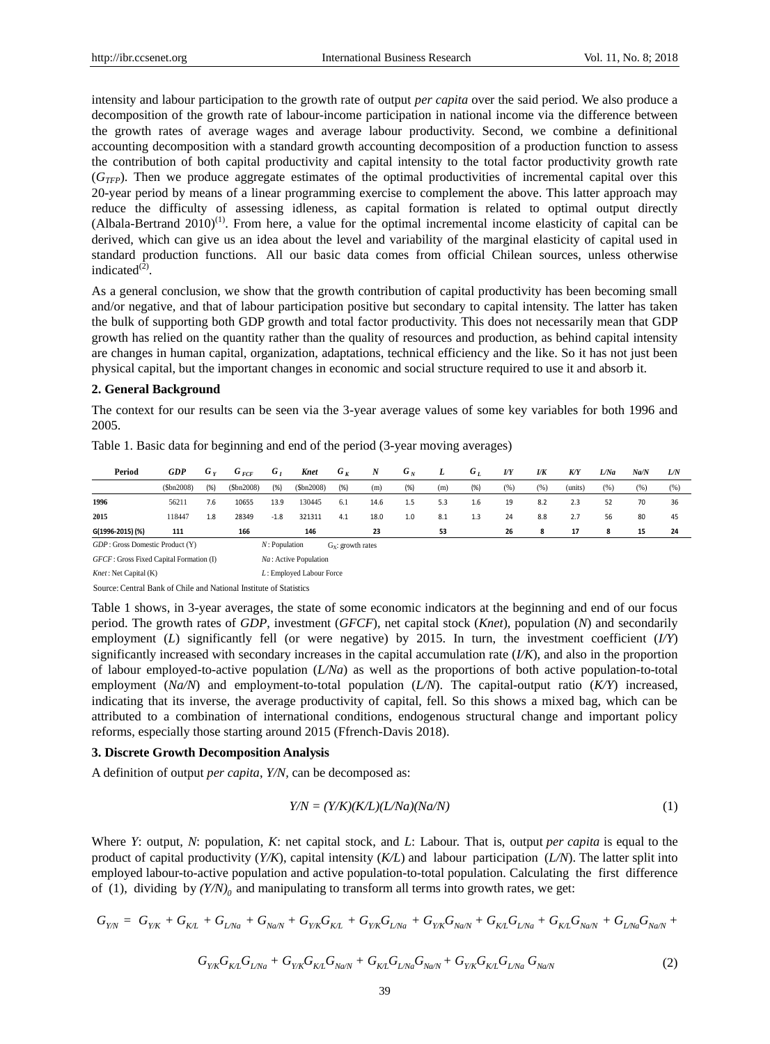intensity and labour participation to the growth rate of output *per capita* over the said period. We also produce a decomposition of the growth rate of labour-income participation in national income via the difference between the growth rates of average wages and average labour productivity. Second, we combine a definitional accounting decomposition with a standard growth accounting decomposition of a production function to assess the contribution of both capital productivity and capital intensity to the total factor productivity growth rate (*GTFP*). Then we produce aggregate estimates of the optimal productivities of incremental capital over this 20-year period by means of a linear programming exercise to complement the above. This latter approach may reduce the difficulty of assessing idleness, as capital formation is related to optimal output directly  $(Albala-Bertrand 2010)<sup>(1)</sup>$ . From here, a value for the optimal incremental income elasticity of capital can be derived, which can give us an idea about the level and variability of the marginal elasticity of capital used in standard production functions. All our basic data comes from official Chilean sources, unless otherwise indicated $^{(2)}$ .

As a general conclusion, we show that the growth contribution of capital productivity has been becoming small and/or negative, and that of labour participation positive but secondary to capital intensity. The latter has taken the bulk of supporting both GDP growth and total factor productivity. This does not necessarily mean that GDP growth has relied on the quantity rather than the quality of resources and production, as behind capital intensity are changes in human capital, organization, adaptations, technical efficiency and the like. So it has not just been physical capital, but the important changes in economic and social structure required to use it and absorb it.

#### **2. General Background**

The context for our results can be seen via the 3-year average values of some key variables for both 1996 and 2005.

| Table 1. Basic data for beginning and end of the period (3-year moving averages) |  |
|----------------------------------------------------------------------------------|--|
|----------------------------------------------------------------------------------|--|

| Period                          | GDP       | G y  | $G_{FCF}$ | G <sub>1</sub>  | <b>Knet</b> | $G_K$                      | N    | $G_N$ | L   | $G_L$  | U <sup>Y</sup> | I/K  | K/Y     | L/Na | Na/N | L/N |
|---------------------------------|-----------|------|-----------|-----------------|-------------|----------------------------|------|-------|-----|--------|----------------|------|---------|------|------|-----|
|                                 | (5bn2008) | (% ) | (5bn2008) | (%)             | (5bn2008)   | (% )                       | (m)  | (% )  | (m) | $(\%)$ | (%)            | (% ) | (units) | (%   | (%)  | (%) |
| 1996                            | 56211     | 7.6  | 10655     | 13.9            | 130445      | 6.1                        | 14.6 | 1.5   | 5.3 | 1.6    | 19             | 8.2  | 2.3     | 52   | 70   | 36  |
| 2015                            | 118447    | 1.8  | 28349     | $-1.8$          | 321311      | 4.1                        | 18.0 | 1.0   | 8.1 | 1.3    | 24             | 8.8  | 2.7     | 56   | 80   | 45  |
| G(1996-2015)(%)                 | 111       |      | 166       |                 | 146         |                            | 23   |       | 53  |        | 26             | 8    | 17      | 8    | 15   | 24  |
| GDP: Gross Domestic Product (Y) |           |      |           | $N:$ Population |             | $G_{\rm Y}$ : growth rates |      |       |     |        |                |      |         |      |      |     |

*GFCF* : Gross Fixed Capital Formation (I) *Na* : Active Population

*Knet* : Net Capital (K) *L* : Employed Labour Force

Source: Central Bank of Chile and National Institute of Statistics

Table 1 shows, in 3-year averages, the state of some economic indicators at the beginning and end of our focus period. The growth rates of *GDP*, investment (*GFCF*), net capital stock (*Knet*), population (*N*) and secondarily employment (*L*) significantly fell (or were negative) by 2015. In turn, the investment coefficient (*I/Y*) significantly increased with secondary increases in the capital accumulation rate (*I/K*), and also in the proportion of labour employed-to-active population (*L/Na*) as well as the proportions of both active population-to-total employment (*Na/N*) and employment-to-total population (*L/N*). The capital-output ratio (*K/Y*) increased, indicating that its inverse, the average productivity of capital, fell. So this shows a mixed bag, which can be attributed to a combination of international conditions, endogenous structural change and important policy reforms, especially those starting around 2015 (Ffrench-Davis 2018). **Prefixa** Control (*GD*) **6** Crief Crief Crief Crief Crief Crief Crief Crief Crief Crief Crief Crief Crief Crief Crief Crief Crief Crief Crief Crief Crief Crief Crief Crief Crief Crief Crief Crief Crief Crief Crief Crief

## **3. Discrete Growth Decomposition Analysis**

A definition of output *per capita*, *Y/N,* can be decomposed as:

$$
Y/N = (Y/K)(K/L)(L/Na)(Na/N)
$$
\n<sup>(1)</sup>

Where *Y*: output, *N*: population, *K*: net capital stock, and *L*: Labour. That is, output *per capita* is equal to the product of capital productivity (*Y/K*), capital intensity (*K/L*) and labour participation (*L/N*). The latter split into employed labour-to-active population and active population-to-total population. Calculating the first difference of (1), dividing by  $(Y/N)_0$  and manipulating to transform all terms into growth rates, we get:

$$
G_{Y\!/\!N} = G_{Y\!/\!K} + G_{K\!/\!L} + G_{L\!/\!Na} + G_{N\!a\!/\!N} + G_{Y\!/\!K}G_{K\!/\!L} + G_{Y\!/\!K}G_{L\!/\!Na} + G_{Y\!/\!K}G_{N\!a\!/\!N} + G_{K\!/\!L}G_{L\!/\!Na} + G_{K\!/\!L}G_{N\!a\!/\!N} + G_{L\!/\!Na}G_{N\!a\!/\!N} + G_{N\!a\!/\!N}G_{N\!a\!/\!N} + G_{N\!a\!/\!N}G_{N\!a\!/\!N} + G_{N\!a\!/\!N}G_{N\!a\!/\!N} + G_{N\!a\!/\!N}G_{N\!a\!/\!N} + G_{N\!a\!/\!N}G_{N\!a\!/\!N} + G_{N\!a\!/\!N}G_{N\!a\!/\!N} + G_{N\!a\!/\!N}G_{N\!a\!/\!N} + G_{N\!a\!/\!N}G_{N\!a\!/\!N} + G_{N\!a\!/\!N}G_{N\!a\!/\!N} + G_{N\!a\!/\!N}G_{N\!a\!/\!N} + G_{N\!a\!/\!N}G_{N\!a\!/\!N} + G_{N\!a\!/\!N}G_{N\!a\!/\!N} + G_{N\!a\!/\!N}G_{N\!a\!/\!N} + G_{N\!a\!/\!N}G_{N\!a\!/\!N} + G_{N\!a\!/\!N}G_{N\!a\!/\!N} + G_{N\!a\!/\!N}G_{N\!a\!/\!N} + G_{N\!a\!/\!N}G_{N\!a\!/\!N} + G_{N\!a\!/\!N}G_{N\!a\!/\!N} + G_{N\!a\!/\!N}G_{N\!a\!/\!N} + G_{N\!a\!/\!N}G_{N\!a\!/\!N} + G_{N\!a\!/\!N}G_{N\!a\!/\!N} + G_{N\!a\!/\!N}G_{N\!a\!/\!N} + G_{N\!a\!/\!N}G_{N\!a\!/\!N} + G_{N\!a\!
$$

$$
G_{Y/K}G_{K/L}G_{L/Na} + G_{Y/K}G_{K/L}G_{Na/N} + G_{K/L}G_{L/Na}G_{Na/N} + G_{Y/K}G_{K/L}G_{L/Na}G_{Na/N}
$$
(2)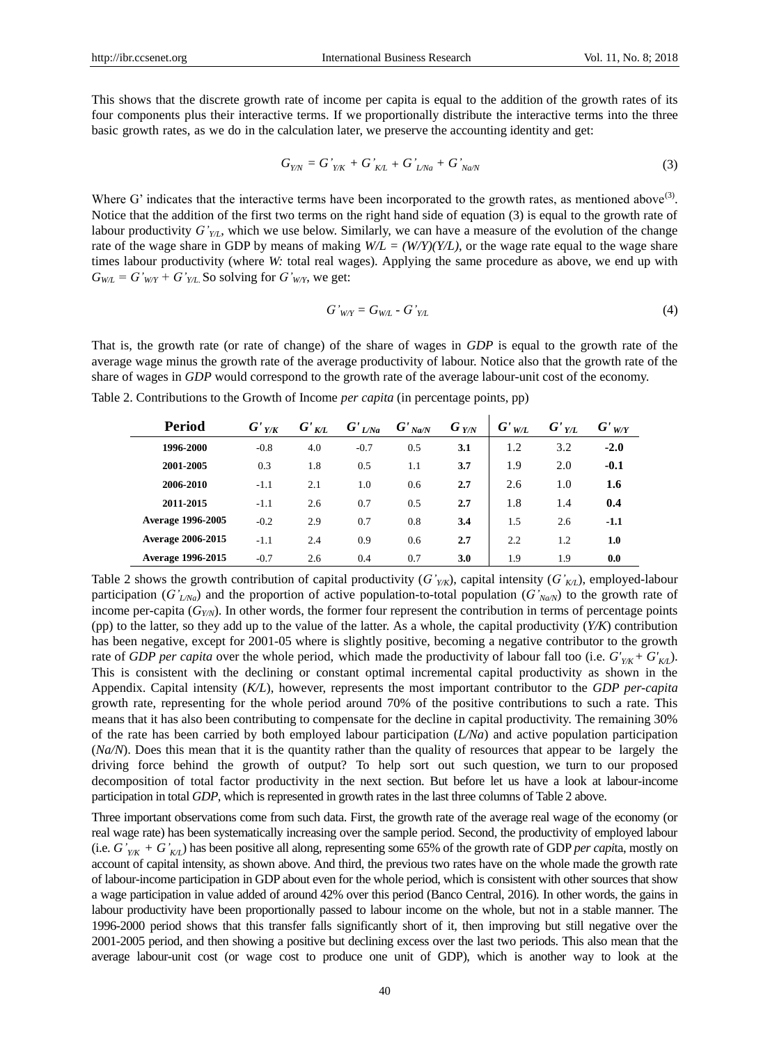This shows that the discrete growth rate of income per capita is equal to the addition of the growth rates of its four components plus their interactive terms. If we proportionally distribute the interactive terms into the three basic growth rates, as we do in the calculation later, we preserve the accounting identity and get:

$$
G_{Y/N} = G'_{Y/K} + G'_{K/L} + G'_{L/Na} + G'_{Na/N}
$$
 (3)

Where G' indicates that the interactive terms have been incorporated to the growth rates, as mentioned above<sup>(3)</sup>. Notice that the addition of the first two terms on the right hand side of equation (3) is equal to the growth rate of labour productivity  $G<sub>Y/L</sub>$ , which we use below. Similarly, we can have a measure of the evolution of the change rate of the wage share in GDP by means of making  $W/L = (W/Y)(Y/L)$ , or the wage rate equal to the wage share times labour productivity (where *W:* total real wages). Applying the same procedure as above, we end up with  $G_{W/L} = G'_{W/Y} + G'_{Y/L}$ . So solving for  $G'_{W/Y}$ , we get:

$$
G'_{W/Y} = G_{W/L} - G'_{Y/L} \tag{4}
$$

That is, the growth rate (or rate of change) of the share of wages in *GDP* is equal to the growth rate of the average wage minus the growth rate of the average productivity of labour. Notice also that the growth rate of the share of wages in *GDP* would correspond to the growth rate of the average labour-unit cost of the economy.

Table 2. Contributions to the Growth of Income *per capita* (in percentage points, pp)

| <b>Period</b>            | $G'_{Y/K}$ | $G'{}_{K/L}$ | $G'_{L/Na}$ | $\boldsymbol{G'}_{\mathit{Na/N}}$ | $\bm{G}_{\textit{Y/N}}$ | G'<br>W/L | $G'_{Y/L}$ | $G'_{W/Y}$ |
|--------------------------|------------|--------------|-------------|-----------------------------------|-------------------------|-----------|------------|------------|
| 1996-2000                | $-0.8$     | 4.0          | $-0.7$      | 0.5                               | 3.1                     | 1.2       | 3.2        | $-2.0$     |
| 2001-2005                | 0.3        | 1.8          | 0.5         | 1.1                               | 3.7                     | 1.9       | 2.0        | $-0.1$     |
| 2006-2010                | $-1.1$     | 2.1          | 1.0         | 0.6                               | 2.7                     | 2.6       | 1.0        | 1.6        |
| 2011-2015                | $-1.1$     | 2.6          | 0.7         | 0.5                               | 2.7                     | 1.8       | 1.4        | 0.4        |
| <b>Average 1996-2005</b> | $-0.2$     | 2.9          | 0.7         | 0.8                               | 3.4                     | 1.5       | 2.6        | $-1.1$     |
| <b>Average 2006-2015</b> | $-1.1$     | 2.4          | 0.9         | 0.6                               | 2.7                     | 2.2       | 1.2        | 1.0        |
| <b>Average 1996-2015</b> | $-0.7$     | 2.6          | 0.4         | 0.7                               | 3.0                     | 1.9       | 1.9        | 0.0        |

Table 2 shows the growth contribution of capital productivity  $(G'_{Y/K})$ , capital intensity  $(G'_{KL})$ , employed-labour participation ( $G'_{LNA}$ ) and the proportion of active population-to-total population ( $G'_{NaN}$ ) to the growth rate of income per-capita  $(G_{Y/N})$ . In other words, the former four represent the contribution in terms of percentage points (pp) to the latter, so they add up to the value of the latter. As a whole, the capital productivity (*Y/K*) contribution has been negative, except for 2001-05 where is slightly positive, becoming a negative contributor to the growth rate of *GDP per capita* over the whole period, which made the productivity of labour fall too (i.e.  $G'_{Y/K} + G'_{K/L}$ ). This is consistent with the declining or constant optimal incremental capital productivity as shown in the Appendix. Capital intensity (*K/L*), however, represents the most important contributor to the *GDP per-capita* growth rate, representing for the whole period around 70% of the positive contributions to such a rate. This means that it has also been contributing to compensate for the decline in capital productivity. The remaining 30% of the rate has been carried by both employed labour participation (*L/Na*) and active population participation (*Na/N*). Does this mean that it is the quantity rather than the quality of resources that appear to be largely the driving force behind the growth of output? To help sort out such question, we turn to our proposed decomposition of total factor productivity in the next section. But before let us have a look at labour-income participation in total *GDP*, which is represented in growth rates in the last three columns of Table 2 above. **Procedure Control Control Control Control Control Control Control Control Control Control Control Control Control Control Control Control Control Control Control Control Control Control Control Control Control Control Co** 

Three important observations come from such data. First, the growth rate of the average real wage of the economy (or real wage rate) has been systematically increasing over the sample period. Second, the productivity of employed labour (i.e. *G'Y/K + G'K/L*) has been positive all along, representing some 65% of the growth rate of GDP *per capi*ta, mostly on account of capital intensity, as shown above. And third, the previous two rates have on the whole made the growth rate of labour-income participation in GDP about even for the whole period, which is consistent with other sources that show a wage participation in value added of around 42% over this period (Banco Central, 2016). In other words, the gains in labour productivity have been proportionally passed to labour income on the whole, but not in a stable manner. The 1996-2000 period shows that this transfer falls significantly short of it, then improving but still negative over the 2001-2005 period, and then showing a positive but declining excess over the last two periods. This also mean that the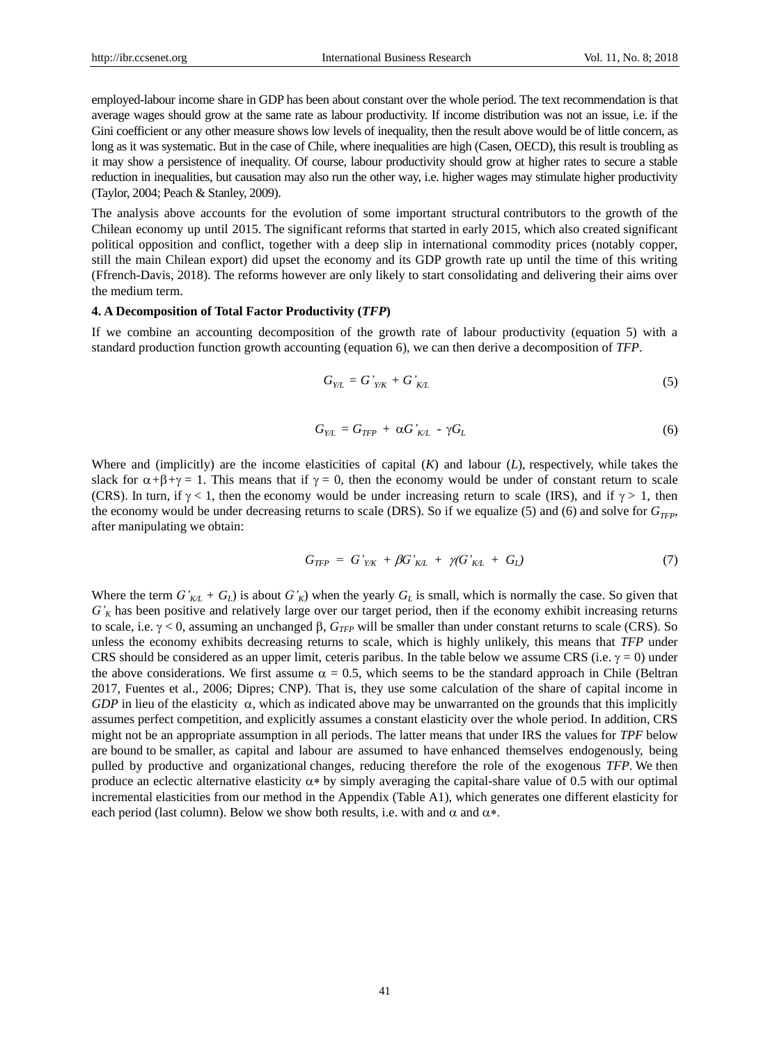employed-labour income share in GDP has been about constant over the whole period. The text recommendation is that average wages should grow at the same rate as labour productivity. If income distribution was not an issue, i.e. if the Gini coefficient or any other measure shows low levels of inequality, then the result above would be of little concern, as long as it was systematic. But in the case of Chile, where inequalities are high (Casen, OECD), this result is troubling as it may show a persistence of inequality. Of course, labour productivity should grow at higher rates to secure a stable reduction in inequalities, but causation may also run the other way, i.e. higher wages may stimulate higher productivity (Taylor, 2004; Peach & Stanley, 2009).

The analysis above accounts for the evolution of some important structural contributors to the growth of the Chilean economy up until 2015. The significant reforms that started in early 2015, which also created significant political opposition and conflict, together with a deep slip in international commodity prices (notably copper, still the main Chilean export) did upset the economy and its GDP growth rate up until the time of this writing (Ffrench-Davis, 2018). The reforms however are only likely to start consolidating and delivering their aims over the medium term.

#### **4. A Decomposition of Total Factor Productivity (***TFP***)**

If we combine an accounting decomposition of the growth rate of labour productivity (equation 5) with a standard production function growth accounting (equation 6), we can then derive a decomposition of *TFP*.

$$
G_{Y/L} = G'_{Y/K} + G'_{K/L} \tag{5}
$$

$$
G_{\text{Y/L}} = G_{\text{TFP}} + \alpha G'_{\text{KL}} - \gamma G_{\text{L}} \tag{6}
$$

Where and (implicitly) are the income elasticities of capital (*K*) and labour (*L*), respectively, while takes the slack for  $\alpha + \beta + \gamma = 1$ . This means that if  $\gamma = 0$ , then the economy would be under of constant return to scale (CRS). In turn, if  $\gamma$  < 1, then the economy would be under increasing return to scale (IRS), and if  $\gamma$  > 1, then the economy would be under decreasing returns to scale (DRS). So if we equalize (5) and (6) and solve for  $G<sub>TFP</sub>$ , after manipulating we obtain:

$$
G_{TFP} = G'_{Y/K} + \beta G'_{KL} + \gamma (G'_{KL} + G_L) \tag{7}
$$

Where the term  $G'_{KL}$  +  $G_L$ ) is about  $G'_{K}$ ) when the yearly  $G_L$  is small, which is normally the case. So given that  $G<sub>K</sub>$  has been positive and relatively large over our target period, then if the economy exhibit increasing returns to scale, i.e.  $\gamma$  < 0, assuming an unchanged  $\beta$ ,  $G_{TFP}$  will be smaller than under constant returns to scale (CRS). So unless the economy exhibits decreasing returns to scale, which is highly unlikely, this means that *TFP* under CRS should be considered as an upper limit, ceteris paribus. In the table below we assume CRS (i.e.  $\gamma = 0$ ) under the above considerations. We first assume  $\alpha = 0.5$ , which seems to be the standard approach in Chile (Beltran 2017, Fuentes et al., 2006; Dipres; CNP). That is, they use some calculation of the share of capital income in *GDP* in lieu of the elasticity  $\alpha$ , which as indicated above may be unwarranted on the grounds that this implicitly assumes perfect competition, and explicitly assumes a constant elasticity over the whole period. In addition, CRS might not be an appropriate assumption in all periods. The latter means that under IRS the values for *TPF* below are bound to be smaller, as capital and labour are assumed to have enhanced themselves endogenously, being pulled by productive and organizational changes, reducing therefore the role of the exogenous *TFP*. We then produce an eclectic alternative elasticity  $\alpha *$  by simply averaging the capital-share value of 0.5 with our optimal incremental elasticities from our method in the Appendix (Table A1), which generates one different elasticity for each period (last column). Below we show both results, i.e. with and  $\alpha$  and  $\alpha^*$ .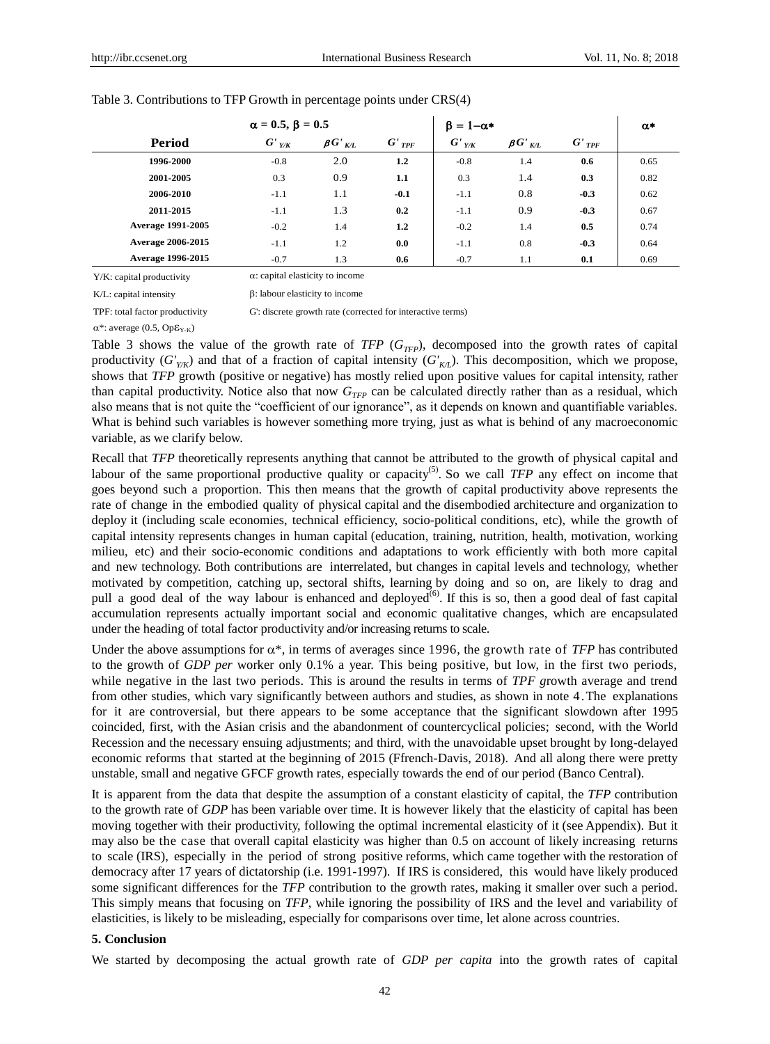|                          | $\alpha = 0.5$ , $\beta = 0.5$ | $\beta = 1-\alpha*$ | $\alpha*$        |            |                    |          |      |
|--------------------------|--------------------------------|---------------------|------------------|------------|--------------------|----------|------|
| Period                   | $G'_{Y/K}$                     | $\beta G'{}_{K/L}$  | $G'$ TPF         | $G'_{Y/K}$ | $\beta G'{}_{K/L}$ | $G'$ TPF |      |
| 1996-2000                | $-0.8$                         | 2.0                 | $1.2\phantom{0}$ | $-0.8$     | 1.4                | 0.6      | 0.65 |
| 2001-2005                | 0.3                            | 0.9                 | 1.1              | 0.3        | 1.4                | 0.3      | 0.82 |
| 2006-2010                | $-1.1$                         | 1.1                 | $-0.1$           | $-1.1$     | 0.8                | $-0.3$   | 0.62 |
| 2011-2015                | $-1.1$                         | 1.3                 | 0.2              | $-1.1$     | 0.9                | $-0.3$   | 0.67 |
| <b>Average 1991-2005</b> | $-0.2$                         | 1.4                 | 1.2              | $-0.2$     | 1.4                | 0.5      | 0.74 |
| <b>Average 2006-2015</b> | $-1.1$                         | 1.2                 | 0.0              | $-1.1$     | 0.8                | $-0.3$   | 0.64 |
| <b>Average 1996-2015</b> | $-0.7$                         | 1.3                 | 0.6              | $-0.7$     | 1.1                | 0.1      | 0.69 |

## Table 3. Contributions to TFP Growth in percentage points under CRS(4)

 $Y/K$ : capital productivity  $\alpha$ : capital elasticity to income

K/L: capital intensity  $\beta$ : labour elasticity to income

TPF: total factor productivity G': discrete growth rate (corrected for interactive terms)

 $\alpha^*$ : average (0.5, Op $\epsilon_{Y-K}$ )

Table 3 shows the value of the growth rate of *TFP* (*GTFP*), decomposed into the growth rates of capital productivity (*G'Y/K* ) and that of a fraction of capital intensity (*G'K/L* ). This decomposition, which we propose, shows that *TFP* growth (positive or negative) has mostly relied upon positive values for capital intensity, rather than capital productivity. Notice also that now  $G_{TFP}$  can be calculated directly rather than as a residual, which also means that is not quite the "coefficient of our ignorance", as it depends on known and quantifiable variables. What is behind such variables is however something more trying, just as what is behind of any macroeconomic variable, as we clarify below.

Recall that *TFP* theoretically represents anything that cannot be attributed to the growth of physical capital and labour of the same proportional productive quality or capacity<sup>(5)</sup>. So we call *TFP* any effect on income that goes beyond such a proportion. This then means that the growth of capital productivity above represents the rate of change in the embodied quality of physical capital and the disembodied architecture and organization to deploy it (including scale economies, technical efficiency, socio-political conditions, etc), while the growth of capital intensity represents changes in human capital (education, training, nutrition, health, motivation, working milieu, etc) and their socio-economic conditions and adaptations to work efficiently with both more capital and new technology. Both contributions are interrelated, but changes in capital levels and technology, whether motivated by competition, catching up, sectoral shifts, learning by doing and so on, are likely to drag and pull a good deal of the way labour is enhanced and deployed<sup>(6)</sup>. If this is so, then a good deal of fast capital accumulation represents actually important social and economic qualitative changes, which are encapsulated under the heading of total factor productivity and/or increasing returns to scale.

Under the above assumptions for  $\alpha^*$ , in terms of averages since 1996, the growth rate of *TFP* has contributed to the growth of *GDP per* worker only 0.1% a year. This being positive, but low, in the first two periods, while negative in the last two periods. This is around the results in terms of *TPF g*rowth average and trend from other studies, which vary significantly between authors and studies, as shown in note 4.The explanations for it are controversial, but there appears to be some acceptance that the significant slowdown after 1995 coincided, first, with the Asian crisis and the abandonment of countercyclical policies; second, with the World Recession and the necessary ensuing adjustments; and third, with the unavoidable upset brought by long-delayed economic reforms that started at the beginning of 2015 (Ffrench-Davis, 2018). And all along there were pretty unstable, small and negative GFCF growth rates, especially towards the end of our period (Banco Central).

It is apparent from the data that despite the assumption of a constant elasticity of capital, the *TFP* contribution to the growth rate of *GDP* has been variable over time. It is however likely that the elasticity of capital has been moving together with their productivity, following the optimal incremental elasticity of it (see Appendix). But it may also be the case that overall capital elasticity was higher than 0.5 on account of likely increasing returns to scale (IRS), especially in the period of strong positive reforms, which came together with the restoration of democracy after 17 years of dictatorship (i.e. 1991-1997). If IRS is considered, this would have likely produced some significant differences for the *TFP* contribution to the growth rates, making it smaller over such a period. This simply means that focusing on *TFP*, while ignoring the possibility of IRS and the level and variability of elasticities, is likely to be misleading, especially for comparisons over time, let alone across countries.

## **5. Conclusion**

We started by decomposing the actual growth rate of *GDP per capita* into the growth rates of capital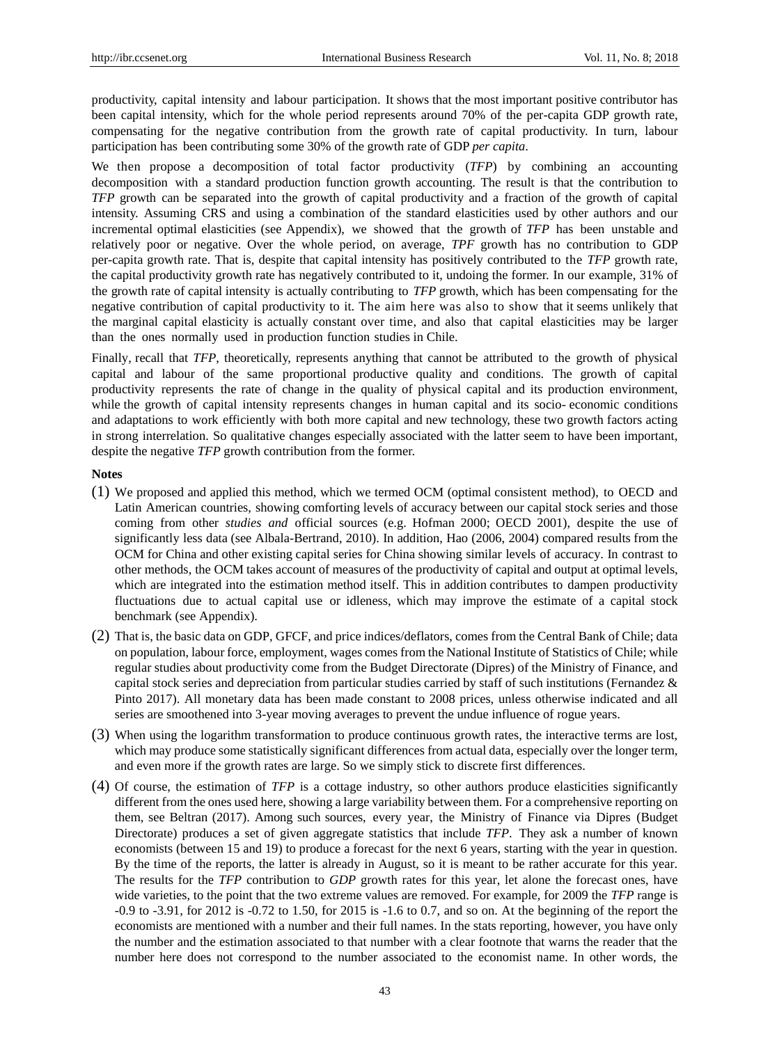productivity, capital intensity and labour participation. It shows that the most important positive contributor has been capital intensity, which for the whole period represents around 70% of the per-capita GDP growth rate, compensating for the negative contribution from the growth rate of capital productivity. In turn, labour participation has been contributing some 30% of the growth rate of GDP *per capita*.

We then propose a decomposition of total factor productivity (*TFP*) by combining an accounting decomposition with a standard production function growth accounting. The result is that the contribution to *TFP* growth can be separated into the growth of capital productivity and a fraction of the growth of capital intensity. Assuming CRS and using a combination of the standard elasticities used by other authors and our incremental optimal elasticities (see Appendix), we showed that the growth of *TFP* has been unstable and relatively poor or negative. Over the whole period, on average, *TPF* growth has no contribution to GDP per-capita growth rate. That is, despite that capital intensity has positively contributed to the *TFP* growth rate, the capital productivity growth rate has negatively contributed to it, undoing the former. In our example, 31% of the growth rate of capital intensity is actually contributing to *TFP* growth, which has been compensating for the negative contribution of capital productivity to it. The aim here was also to show that it seems unlikely that the marginal capital elasticity is actually constant over time, and also that capital elasticities may be larger than the ones normally used in production function studies in Chile.

Finally*,* recall that *TFP*, theoretically, represents anything that cannot be attributed to the growth of physical capital and labour of the same proportional productive quality and conditions. The growth of capital productivity represents the rate of change in the quality of physical capital and its production environment, while the growth of capital intensity represents changes in human capital and its socio- economic conditions and adaptations to work efficiently with both more capital and new technology, these two growth factors acting in strong interrelation. So qualitative changes especially associated with the latter seem to have been important, despite the negative *TFP* growth contribution from the former.

#### **Notes**

- (1) We proposed and applied this method, which we termed OCM (optimal consistent method), to OECD and Latin American countries, showing comforting levels of accuracy between our capital stock series and those coming from other *studies and* official sources (e.g. Hofman 2000; OECD 2001), despite the use of significantly less data (see Albala-Bertrand, 2010). In addition, Hao (2006, 2004) compared results from the OCM for China and other existing capital series for China showing similar levels of accuracy. In contrast to other methods, the OCM takes account of measures of the productivity of capital and output at optimal levels, which are integrated into the estimation method itself. This in addition contributes to dampen productivity fluctuations due to actual capital use or idleness, which may improve the estimate of a capital stock benchmark (see Appendix).
- (2) That is, the basic data on GDP, GFCF, and price indices/deflators, comes from the Central Bank of Chile; data on population, labour force, employment, wages comes from the National Institute of Statistics of Chile; while regular studies about productivity come from the Budget Directorate (Dipres) of the Ministry of Finance, and capital stock series and depreciation from particular studies carried by staff of such institutions (Fernandez & Pinto 2017). All monetary data has been made constant to 2008 prices, unless otherwise indicated and all series are smoothened into 3-year moving averages to prevent the undue influence of rogue years.
- (3) When using the logarithm transformation to produce continuous growth rates, the interactive terms are lost, which may produce some statistically significant differences from actual data, especially over the longer term, and even more if the growth rates are large. So we simply stick to discrete first differences.
- (4) Of course, the estimation of *TFP* is a cottage industry, so other authors produce elasticities significantly different from the ones used here, showing a large variability between them. For a comprehensive reporting on them, see Beltran (2017). Among such sources, every year, the Ministry of Finance via Dipres (Budget Directorate) produces a set of given aggregate statistics that include *TFP*. They ask a number of known economists (between 15 and 19) to produce a forecast for the next 6 years, starting with the year in question. By the time of the reports, the latter is already in August, so it is meant to be rather accurate for this year. The results for the *TFP* contribution to *GDP* growth rates for this year, let alone the forecast ones, have wide varieties, to the point that the two extreme values are removed. For example, for 2009 the *TFP* range is -0.9 to -3.91, for 2012 is -0.72 to 1.50, for 2015 is -1.6 to 0.7, and so on. At the beginning of the report the economists are mentioned with a number and their full names. In the stats reporting, however, you have only the number and the estimation associated to that number with a clear footnote that warns the reader that the number here does not correspond to the number associated to the economist name. In other words, the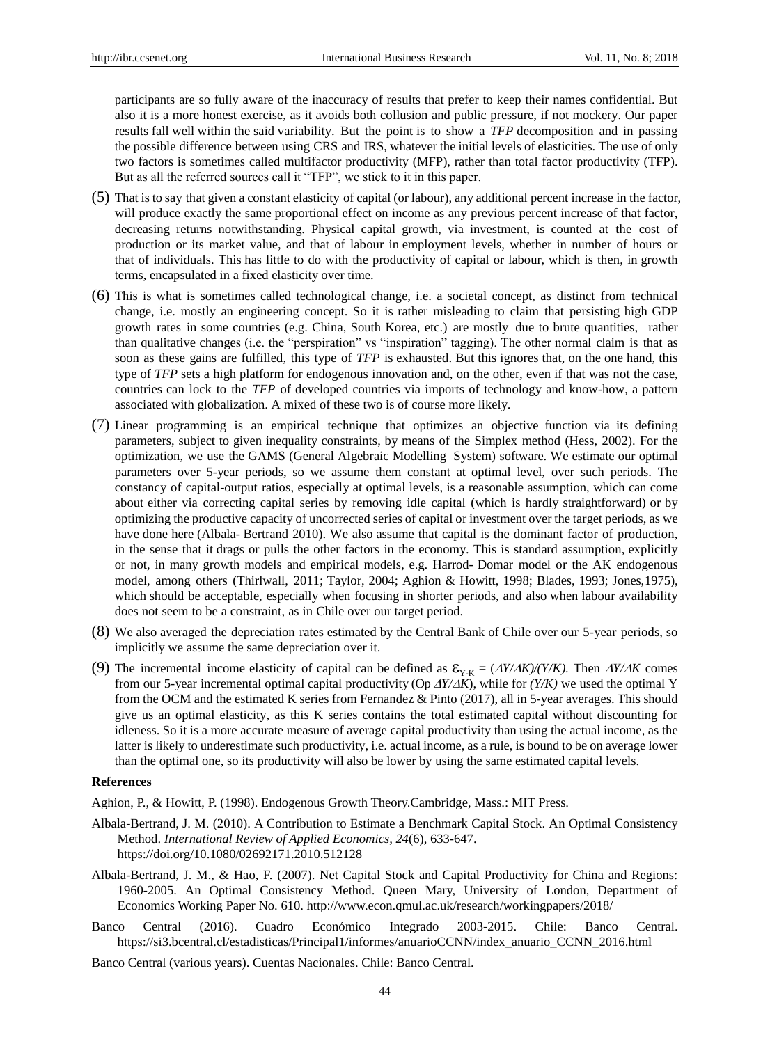participants are so fully aware of the inaccuracy of results that prefer to keep their names confidential. But also it is a more honest exercise, as it avoids both collusion and public pressure, if not mockery. Our paper results fall well within the said variability. But the point is to show a *TFP* decomposition and in passing the possible difference between using CRS and IRS, whatever the initial levels of elasticities. The use of only two factors is sometimes called multifactor productivity (MFP), rather than total factor productivity (TFP). But as all the referred sources call it "TFP", we stick to it in this paper.

- (5) That is to say that given a constant elasticity of capital (or labour), any additional percent increase in the factor, will produce exactly the same proportional effect on income as any previous percent increase of that factor, decreasing returns notwithstanding. Physical capital growth, via investment, is counted at the cost of production or its market value, and that of labour in employment levels, whether in number of hours or that of individuals. This has little to do with the productivity of capital or labour, which is then, in growth terms, encapsulated in a fixed elasticity over time.
- (6) This is what is sometimes called technological change, i.e. a societal concept, as distinct from technical change, i.e. mostly an engineering concept. So it is rather misleading to claim that persisting high GDP growth rates in some countries (e.g. China, South Korea, etc.) are mostly due to brute quantities, rather than qualitative changes (i.e. the "perspiration" vs "inspiration" tagging). The other normal claim is that as soon as these gains are fulfilled, this type of *TFP* is exhausted. But this ignores that, on the one hand, this type of *TFP* sets a high platform for endogenous innovation and, on the other, even if that was not the case, countries can lock to the *TFP* of developed countries via imports of technology and know-how, a pattern associated with globalization. A mixed of these two is of course more likely.
- (7) Linear programming is an empirical technique that optimizes an objective function via its defining parameters, subject to given inequality constraints, by means of the Simplex method (Hess, 2002). For the optimization, we use the GAMS (General Algebraic Modelling System) software. We estimate our optimal parameters over 5-year periods, so we assume them constant at optimal level, over such periods. The constancy of capital-output ratios, especially at optimal levels, is a reasonable assumption, which can come about either via correcting capital series by removing idle capital (which is hardly straightforward) or by optimizing the productive capacity of uncorrected series of capital or investment over the target periods, as we have done here (Albala- Bertrand 2010). We also assume that capital is the dominant factor of production, in the sense that it drags or pulls the other factors in the economy. This is standard assumption, explicitly or not, in many growth models and empirical models, e.g. Harrod- Domar model or the AK endogenous model, among others (Thirlwall, 2011; Taylor, 2004; Aghion & Howitt, 1998; Blades, 1993; Jones,1975), which should be acceptable, especially when focusing in shorter periods, and also when labour availability does not seem to be a constraint, as in Chile over our target period.
- (8) We also averaged the depreciation rates estimated by the Central Bank of Chile over our 5-year periods, so implicitly we assume the same depreciation over it.
- (9) The incremental income elasticity of capital can be defined as  $\mathcal{E}_{Y-K} = (AY/AK)/(Y/K)$ . Then  $AY/AK$  comes from our 5-year incremental optimal capital productivity (Op *Y/K*), while for *(Y/K)* we used the optimal Y from the OCM and the estimated K series from Fernandez & Pinto (2017), all in 5-year averages. This should give us an optimal elasticity, as this K series contains the total estimated capital without discounting for idleness. So it is a more accurate measure of average capital productivity than using the actual income, as the latter is likely to underestimate such productivity, i.e. actual income, as a rule, is bound to be on average lower than the optimal one, so its productivity will also be lower by using the same estimated capital levels.

#### **References**

- Aghion, P., & Howitt, P. (1998). Endogenous Growth Theory.Cambridge, Mass.: MIT Press.
- Albala-Bertrand, J. M. (2010). A Contribution to Estimate a Benchmark Capital Stock. An Optimal Consistency Method. *International Review of Applied Economics, 24*(6), 633-647. https://doi.org/10.1080/02692171.2010.512128
- Albala-Bertrand, J. M., & Hao, F. (2007). Net Capital Stock and Capital Productivity for China and Regions: 1960-2005. An Optimal Consistency Method. Queen Mary, University of London, Department of Economics Working Paper No. 610. http://www.econ.qmul.ac.uk/research/workingpapers/2018/
- Banco Central (2016). Cuadro Económico Integrado 2003-2015. Chile: Banco Central. https://si3.bcentral.cl/estadisticas/Principal1/informes/anuarioCCNN/index\_anuario\_CCNN\_2016.html
- Banco Central (various years). Cuentas Nacionales. Chile: Banco Central.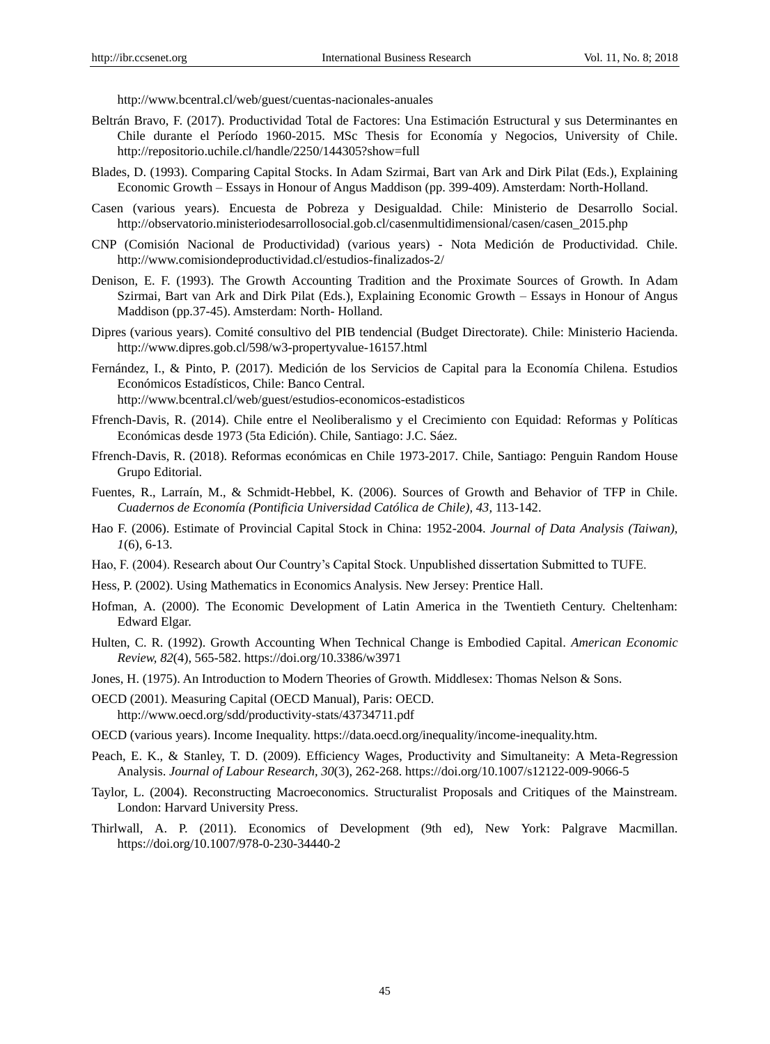http://www.bcentral.cl/web/guest/cuentas-nacionales-anuales

- Beltrán Bravo, F. (2017). Productividad Total de Factores: Una Estimación Estructural y sus Determinantes en Chile durante el Per ódo 1960-2015. MSc Thesis for Econom á y Negocios, University of Chile. http://repositorio.uchile.cl/handle/2250/144305?show=full
- Blades, D. (1993). Comparing Capital Stocks. In Adam Szirmai, Bart van Ark and Dirk Pilat (Eds.), Explaining Economic Growth – Essays in Honour of Angus Maddison (pp. 399-409). Amsterdam: North-Holland.
- Casen (various years). Encuesta de Pobreza y Desigualdad. Chile: Ministerio de Desarrollo Social. [http://observatorio.ministeriodesarrollosocial.gob.cl/casenm](http://observatorio.ministeriodesarrollosocial.gob.cl/casen)ultidimensional/casen/casen\_2015.php
- CNP (Comisión Nacional de Productividad) (various years) Nota Medición de Productividad. Chile. http://www.comisiondeproductividad.cl/estudios-finalizados-2/
- Denison, E. F. (1993). The Growth Accounting Tradition and the Proximate Sources of Growth. In Adam Szirmai, Bart van Ark and Dirk Pilat (Eds.), Explaining Economic Growth – Essays in Honour of Angus Maddison (pp.37-45). Amsterdam: North- Holland.
- Dipres (various years). Comité consultivo del PIB tendencial (Budget Directorate). Chile: Ministerio Hacienda. http://www.dipres.gob.cl/598/w3-propertyvalue-16157.html
- Fernández, I., & Pinto, P. (2017). Medición de los Servicios de Capital para la Economía Chilena. Estudios Económicos Estad ísticos, Chile: Banco Central. http://www.bcentral.cl/web/guest/estudios-economicos-estadisticos
- Ffrench-Davis, R. (2014). Chile entre el Neoliberalismo y el Crecimiento con Equidad: Reformas y Políticas Económicas desde 1973 (5ta Edición). Chile, Santiago: J.C. Sáez.
- Ffrench-Davis, R. (2018). Reformas económicas en Chile 1973-2017. Chile, Santiago: Penguin Random House Grupo Editorial.
- Fuentes, R., Larra n, M., & Schmidt-Hebbel, K. (2006). Sources of Growth and Behavior of TFP in Chile. *Cuadernos de Economía (Pontificia Universidad Católica de Chile), 43,* 113-142.
- Hao F. (2006). Estimate of Provincial Capital Stock in China: 1952-2004. *Journal of Data Analysis (Taiwan), 1*(6), 6-13.
- Hao, F. (2004). Research about Our Country's Capital Stock. Unpublished dissertation Submitted to TUFE.
- Hess, P. (2002). Using Mathematics in Economics Analysis. New Jersey: Prentice Hall.
- Hofman, A. (2000). The Economic Development of Latin America in the Twentieth Century. Cheltenham: Edward Elgar.
- Hulten, C. R. (1992). Growth Accounting When Technical Change is Embodied Capital. *American Economic Review, 82*(4), 565-582. https://doi.org/10.3386/w3971
- Jones, H. (1975). An Introduction to Modern Theories of Growth. Middlesex: Thomas Nelson & Sons.
- OECD (2001). Measuring Capital (OECD Manual), Paris: OECD. http://www.oecd.org/sdd/productivity-stats/43734711.pdf
- OECD (various years). Income Inequality. https://data.oecd.org/inequality/income-inequality.htm.
- Peach, E. K., & Stanley, T. D. (2009). Efficiency Wages, Productivity and Simultaneity: A Meta-Regression Analysis. *Journal of Labour Research, 30*(3), 262-268. https://doi.org/10.1007/s12122-009-9066-5
- Taylor, L. (2004). Reconstructing Macroeconomics. Structuralist Proposals and Critiques of the Mainstream. London: Harvard University Press.
- Thirlwall, A. P. (2011). Economics of Development (9th ed), New York: Palgrave Macmillan. https://doi.org/10.1007/978-0-230-34440-2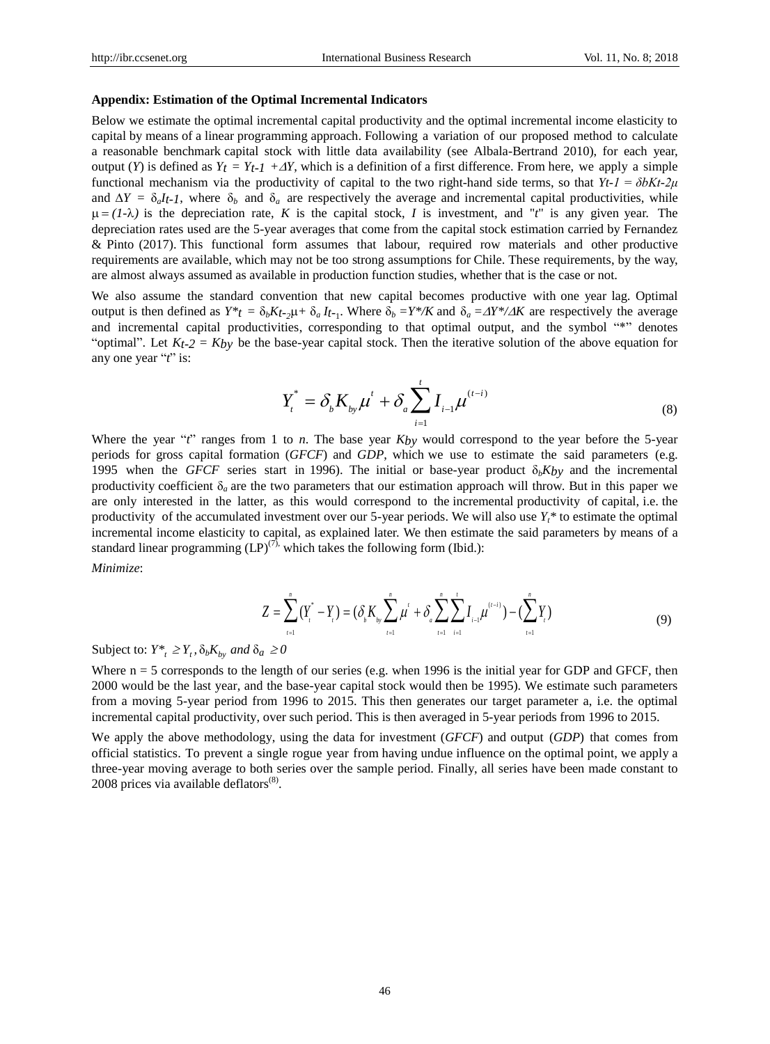#### **Appendix: Estimation of the Optimal Incremental Indicators**

Below we estimate the optimal incremental capital productivity and the optimal incremental income elasticity to capital by means of a linear programming approach. Following a variation of our proposed method to calculate a reasonable benchmark capital stock with little data availability (see Albala-Bertrand 2010), for each year, output (*Y*) is defined as  $Y_t = Y_{t-1} + \Delta Y$ , which is a definition of a first difference. From here, we apply a simple functional mechanism via the productivity of capital to the two right-hand side terms, so that *Yt-1 = δbKt-2μ* and  $\Delta Y = \delta_a I_t$ -1, where  $\delta_b$  and  $\delta_a$  are respectively the average and incremental capital productivities, while  $\mu = (I - \lambda)$  is the depreciation rate, *K* is the capital stock, *I* is investment, and "*t*" is any given year. The depreciation rates used are the 5-year averages that come from the capital stock estimation carried by Fernandez & Pinto (2017). This functional form assumes that labour, required row materials and other productive requirements are available, which may not be too strong assumptions for Chile. These requirements, by the way, are almost always assumed as available in production function studies, whether that is the case or not.

We also assume the standard convention that new capital becomes productive with one year lag. Optimal output is then defined as  $Y^*t = \delta_b K t_{-2} \mu + \delta_a I_{t-1}$ . Where  $\delta_b = Y^* / K$  and  $\delta_a = \Delta Y^* / \Delta K$  are respectively the average and incremental capital productivities, corresponding to that optimal output, and the symbol "\*" denotes "optimal". Let  $K_{t-2} = K_{by}$  be the base-year capital stock. Then the iterative solution of the above equation for any one year "*t*" is:

$$
Y_t^* = \delta_b K_{by} \mu^t + \delta_a \sum_{i=1}^t I_{i-1} \mu^{(t-i)}
$$
\n(8)

Where the year "*t*" ranges from 1 to *n*. The base year *Kby* would correspond to the year before the 5-year periods for gross capital formation (*GFCF*) and *GDP*, which we use to estimate the said parameters (e.g. 1995 when the *GFCF* series start in 1996). The initial or base-year product  $\delta_b K b_y$  and the incremental productivity coefficient δ*<sup>a</sup>* are the two parameters that our estimation approach will throw. But in this paper we are only interested in the latter, as this would correspond to the incremental productivity of capital, i.e. the productivity of the accumulated investment over our 5-year periods. We will also use *Yt\** to estimate the optimal incremental income elasticity to capital, as explained later. We then estimate the said parameters by means of a standard linear programming  $(LP)^{(7)}$ , which takes the following form (Ibid.):

*Minimize*:

$$
Z = \sum_{i=1}^{n} (Y_i^* - Y_i) = (\delta_{\iota} K_{\iota} \sum_{i=1}^{n} \mu^i + \delta_{\iota} \sum_{i=1}^{n} \sum_{i=1}^{i} I_{\iota} \mu^{(i-i)} ) - (\sum_{i=1}^{n} Y_i)
$$
(9)

Subject to:  $Y^*$ <sub>*t*</sub></sub>  $\geq Y$ <sub>*t*</sub>,  $\delta_b K$ <sub>*by*</sub> and  $\delta_a \geq 0$ 

Where  $n = 5$  corresponds to the length of our series (e.g. when 1996 is the initial year for GDP and GFCF, then 2000 would be the last year, and the base-year capital stock would then be 1995). We estimate such parameters from a moving 5-year period from 1996 to 2015. This then generates our target parameter a, i.e. the optimal incremental capital productivity, over such period. This is then averaged in 5-year periods from 1996 to 2015.

We apply the above methodology, using the data for investment (*GFCF*) and output (*GDP*) that comes from official statistics. To prevent a single rogue year from having undue influence on the optimal point, we apply a three-year moving average to both series over the sample period. Finally, all series have been made constant to 2008 prices via available deflators $^{(8)}$ .